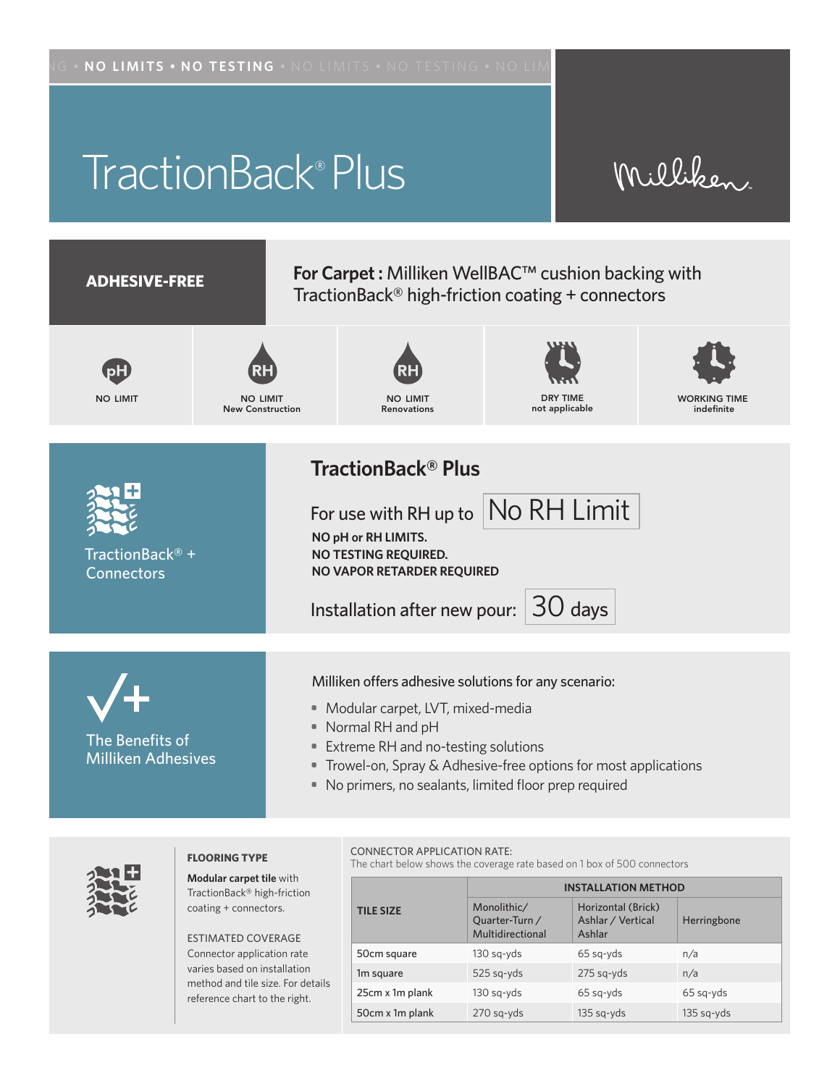# TractionBack® Plus

# Milliken



• No primers, no sealants, limited floor prep required



#### **FLOORING TYPE**

**Modular carpet tile** with TractionBack® high-friction coating + connectors.

ESTIMATED COVERAGE Connector application rate varies based on installation method and tile size. For details reference chart to the right.

#### CONNECTOR APPLICATION RATE:

The chart below shows the coverage rate based on 1 box of 500 connectors

|                  | <b>INSTALLATION METHOD</b>                        |                                                   |              |
|------------------|---------------------------------------------------|---------------------------------------------------|--------------|
| <b>TILE SIZE</b> | Monolithic/<br>Quarter-Turn /<br>Multidirectional | Horizontal (Brick)<br>Ashlar / Vertical<br>Ashlar | Herringbone  |
| 50cm square      | 130 sg-yds                                        | 65 sq-yds                                         | n/a          |
| 1m square        | 525 sq-yds                                        | 275 sq-yds                                        | n/a          |
| 25cm x 1m plank  | 130 sg-yds                                        | 65 sq-yds                                         | 65 sq-yds    |
| 50cm x 1m plank  | 270 sq-yds                                        | $135$ sq-yds                                      | $135$ sq-yds |